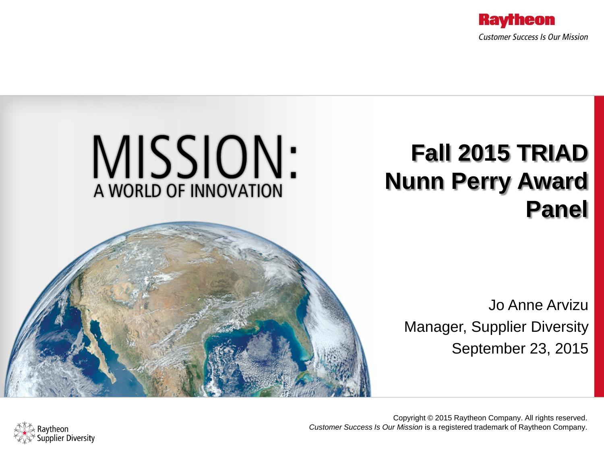



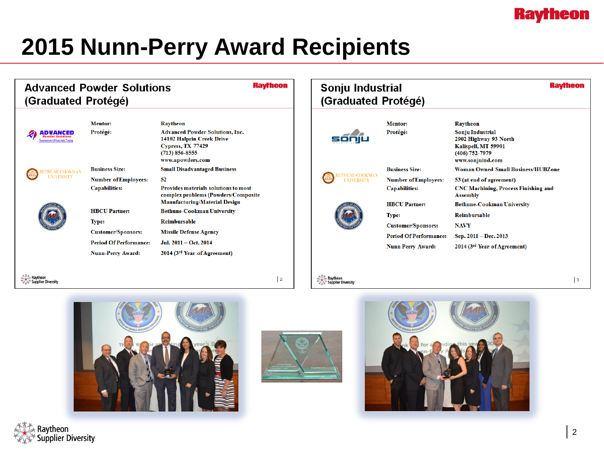#### **Raytheon**

### **2015 Nunn-Perry Award Recipients**

| <b>Advanced Powder Solutions</b><br>(Graduated Protégé)    |                                                                                                                                |                                                                                                                                                                                                                                                                                          | <b>Raytheon</b> | Sonju Industrial<br>(Graduated Protégé) |                                                                                                                                |                                                                                                                                                                                                                                                                             | <b>Raytheon</b> |  |
|------------------------------------------------------------|--------------------------------------------------------------------------------------------------------------------------------|------------------------------------------------------------------------------------------------------------------------------------------------------------------------------------------------------------------------------------------------------------------------------------------|-----------------|-----------------------------------------|--------------------------------------------------------------------------------------------------------------------------------|-----------------------------------------------------------------------------------------------------------------------------------------------------------------------------------------------------------------------------------------------------------------------------|-----------------|--|
| rrow's Materials Toda<br><b>HUNE-COOKMAN</b><br>UNIVERSITY | <b>Mentor:</b><br>Protégé:<br><b>Business Size:</b><br><b>Number of Employees:</b><br><b>Capabilities:</b>                     | Raytheon<br><b>Advanced Powder Solutions, Inc.</b><br>14102 Halprin Creek Drive<br><b>Cypress, TX 77429</b><br>$(713) 856 - 8555$<br>www.apowders.com<br><b>Small Disadvantaged Business</b><br>52<br><b>Provides materials solutions to most</b><br>complex problems (Powders/Composite |                 | <b>UNE-COOKMAN</b><br><b>UNIVERSITY</b> | <b>Mentor:</b><br>Protégé:<br><b>Business Size:</b><br><b>Number of Employees:</b><br><b>Capabilities:</b>                     | <b>Raytheon</b><br><b>Sonju Industrial</b><br>2902 Highway 93 North<br>Kalispell, MT 59901<br>(406) 752-7979<br>www.sonjuind.com<br><b>Woman Owned Small Business/HUBZone</b><br>53 (at end of agreement)<br><b>CNC Machining, Process Finishing and</b><br><b>Assembly</b> |                 |  |
|                                                            | <b>HBCU</b> Partner:<br><b>Type:</b><br><b>Customer/Sponsors:</b><br><b>Period Of Performance:</b><br><b>Nunn-Perry Award:</b> | <b>Manufacturing/Material Design</b><br><b>Bethune-Cookman University</b><br><b>Reimbursable</b><br><b>Missile Defense Agency</b><br>Jul. 2011 - Oct. 2014<br>2014 (3rd Year of Agreement)                                                                                               |                 |                                         | <b>HBCU</b> Partner:<br><b>Type:</b><br><b>Customer/Sponsors:</b><br><b>Period Of Performance:</b><br><b>Nunn Perry Award:</b> | <b>Bethune-Cookman University</b><br><b>Reimbursable</b><br><b>NAVY</b><br>Sep. 2011 - Dec. 2013<br>2014 (3rd Year of Agreement)                                                                                                                                            |                 |  |
| <b>Supplier Diversity</b>                                  |                                                                                                                                |                                                                                                                                                                                                                                                                                          | $\vert$ 2       |                                         |                                                                                                                                |                                                                                                                                                                                                                                                                             | $\overline{3}$  |  |





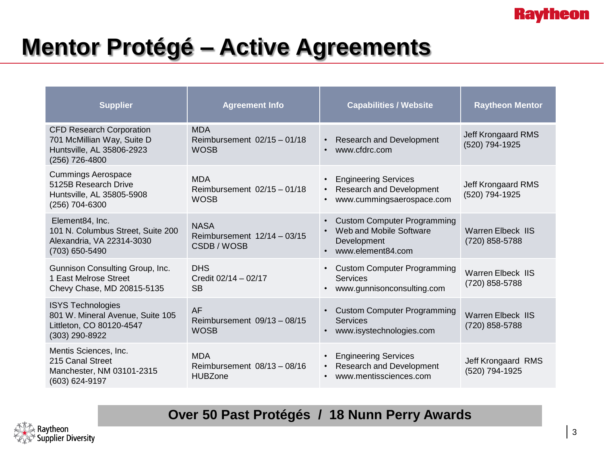#### **Raytheon**

## **Mentor Protégé – Active Agreements**

| <b>Supplier</b>                                                                                              | <b>Agreement Info</b>                                       | <b>Capabilities / Website</b>                                                                                               | <b>Raytheon Mentor</b>                     |  |
|--------------------------------------------------------------------------------------------------------------|-------------------------------------------------------------|-----------------------------------------------------------------------------------------------------------------------------|--------------------------------------------|--|
| <b>CFD Research Corporation</b><br>701 McMillian Way, Suite D<br>Huntsville, AL 35806-2923<br>(256) 726-4800 | <b>MDA</b><br>Reimbursement $02/15 - 01/18$<br><b>WOSB</b>  | Research and Development<br>$\bullet$<br>www.cfdrc.com                                                                      | Jeff Krongaard RMS<br>(520) 794-1925       |  |
| <b>Cummings Aerospace</b><br>5125B Research Drive<br>Huntsville, AL 35805-5908<br>(256) 704-6300             | <b>MDA</b><br>Reimbursement $02/15 - 01/18$<br><b>WOSB</b>  | <b>Engineering Services</b><br>$\bullet$<br><b>Research and Development</b><br>www.cummingsaerospace.com<br>$\bullet$       | Jeff Krongaard RMS<br>(520) 794-1925       |  |
| Element84, Inc.<br>101 N. Columbus Street, Suite 200<br>Alexandria, VA 22314-3030<br>(703) 650-5490          | <b>NASA</b><br>Reimbursement $12/14 - 03/15$<br>CSDB / WOSB | <b>Custom Computer Programming</b><br>$\bullet$<br>Web and Mobile Software<br>$\bullet$<br>Development<br>www.element84.com | <b>Warren Elbeck IIS</b><br>(720) 858-5788 |  |
| Gunnison Consulting Group, Inc.<br>1 East Melrose Street<br>Chevy Chase, MD 20815-5135                       | <b>DHS</b><br>Credit 02/14 - 02/17<br><b>SB</b>             | <b>Custom Computer Programming</b><br>$\bullet$<br>Services<br>www.gunnisonconsulting.com                                   | <b>Warren Elbeck IIS</b><br>(720) 858-5788 |  |
| <b>ISYS Technologies</b><br>801 W. Mineral Avenue, Suite 105<br>Littleton, CO 80120-4547<br>(303) 290-8922   | <b>AF</b><br>Reimbursement $09/13 - 08/15$<br><b>WOSB</b>   | <b>Custom Computer Programming</b><br>Services<br>www.isystechnologies.com                                                  | Warren Elbeck IIS<br>(720) 858-5788        |  |
| Mentis Sciences, Inc.<br>215 Canal Street<br>Manchester, NM 03101-2315<br>(603) 624-9197                     | <b>MDA</b><br>Reimbursement 08/13 - 08/16<br><b>HUBZone</b> | <b>Engineering Services</b><br>Research and Development<br>www.mentissciences.com<br>$\bullet$                              | Jeff Krongaard RMS<br>(520) 794-1925       |  |

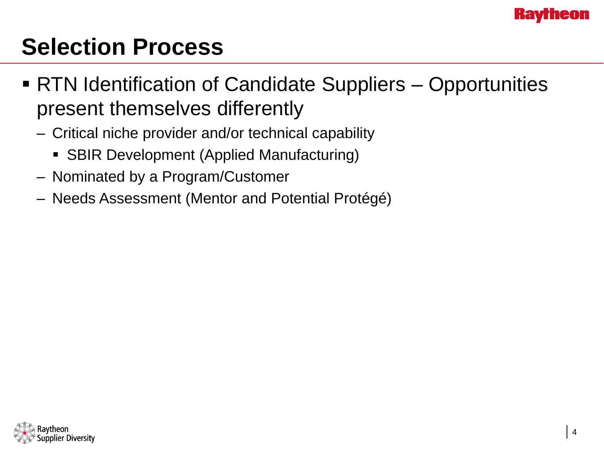

## **Selection Process**

- RTN Identification of Candidate Suppliers Opportunities present themselves differently
	- Critical niche provider and/or technical capability
		- SBIR Development (Applied Manufacturing)
	- Nominated by a Program/Customer
	- Needs Assessment (Mentor and Potential Protégé)

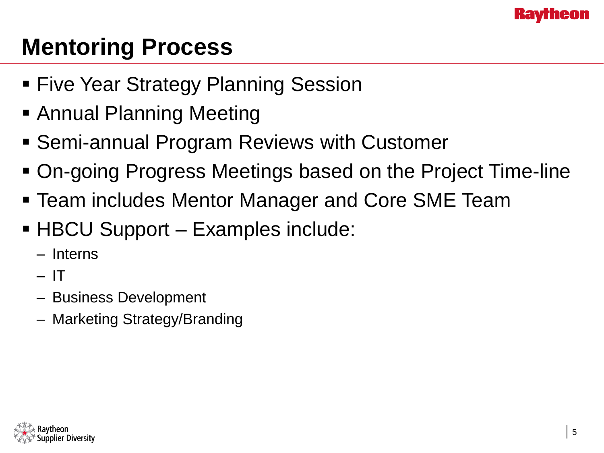

## **Mentoring Process**

- **Five Year Strategy Planning Session**
- Annual Planning Meeting
- Semi-annual Program Reviews with Customer
- On-going Progress Meetings based on the Project Time-line
- Team includes Mentor Manager and Core SME Team
- HBCU Support Examples include:
	- Interns
	- IT
	- Business Development
	- Marketing Strategy/Branding

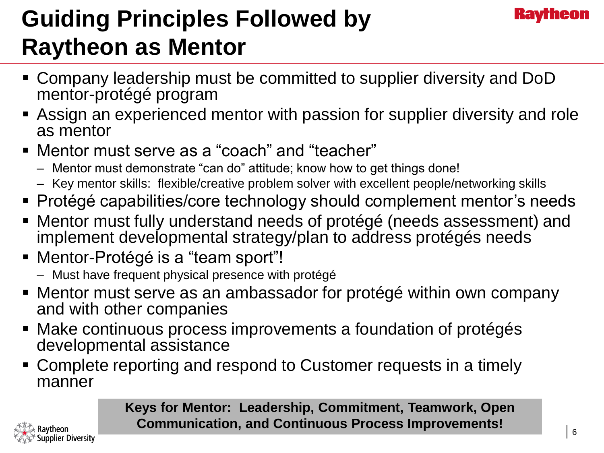# **Guiding Principles Followed by Raytheon as Mentor**

- Company leadership must be committed to supplier diversity and DoD mentor-protégé program
- Assign an experienced mentor with passion for supplier diversity and role as mentor
- Mentor must serve as a "coach" and "teacher"
	- Mentor must demonstrate "can do" attitude; know how to get things done!
	- Key mentor skills: flexible/creative problem solver with excellent people/networking skills
- Protégé capabilities/core technology should complement mentor's needs
- Mentor must fully understand needs of protégé (needs assessment) and implement developmental strategy/plan to address protégés needs
- Mentor-Protégé is a "team sport"!

Supplier Diversity

- Must have frequent physical presence with protégé
- Mentor must serve as an ambassador for protégé within own company and with other companies
- Make continuous process improvements a foundation of protégés developmental assistance
- Complete reporting and respond to Customer requests in a timely manner

**Keys for Mentor: Leadership, Commitment, Teamwork, Open Communication, and Continuous Process Improvements!**

heon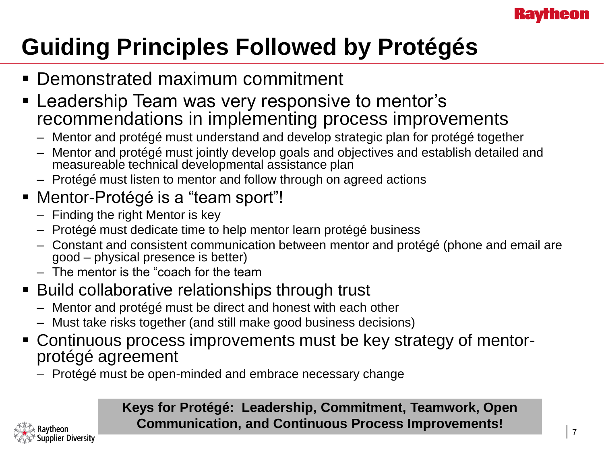# **Guiding Principles Followed by Protégés**

- Demonstrated maximum commitment
- **Leadership Team was very responsive to mentor's** recommendations in implementing process improvements
	- Mentor and protégé must understand and develop strategic plan for protégé together
	- Mentor and protégé must jointly develop goals and objectives and establish detailed and measureable technical developmental assistance plan
	- Protégé must listen to mentor and follow through on agreed actions

#### Mentor-Protégé is a "team sport"!

- Finding the right Mentor is key
- Protégé must dedicate time to help mentor learn protégé business
- Constant and consistent communication between mentor and protégé (phone and email are good – physical presence is better)
- The mentor is the "coach for the team
- Build collaborative relationships through trust
	- Mentor and protégé must be direct and honest with each other
	- Must take risks together (and still make good business decisions)
- Continuous process improvements must be key strategy of mentorprotégé agreement
	- Protégé must be open-minded and embrace necessary change

**Keys for Protégé: Leadership, Commitment, Teamwork, Open Communication, and Continuous Process Improvements!**